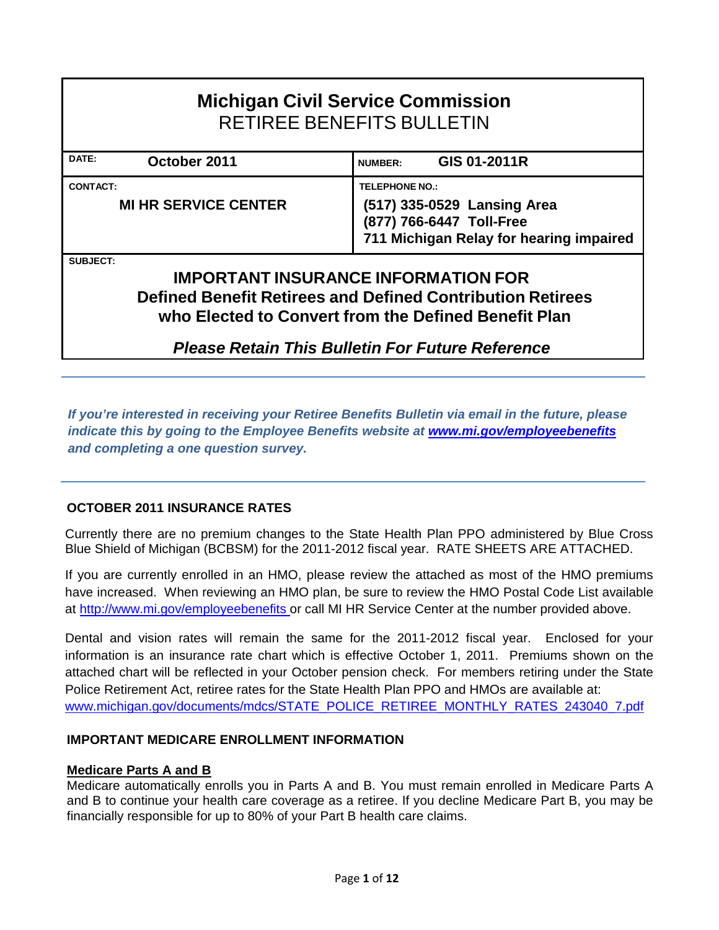| <b>Michigan Civil Service Commission</b><br><b>RETIREE BENEFITS BULLETIN</b>                                                                                                                                                                          |                                |  |  |  |  |  |  |  |  |
|-------------------------------------------------------------------------------------------------------------------------------------------------------------------------------------------------------------------------------------------------------|--------------------------------|--|--|--|--|--|--|--|--|
| DATE:<br>October 2011                                                                                                                                                                                                                                 | GIS 01-2011R<br><b>NUMBER:</b> |  |  |  |  |  |  |  |  |
| <b>CONTACT:</b><br><b>TELEPHONE NO.:</b><br><b>MI HR SERVICE CENTER</b><br>(517) 335-0529 Lansing Area<br>(877) 766-6447 Toll-Free<br>711 Michigan Relay for hearing impaired                                                                         |                                |  |  |  |  |  |  |  |  |
| <b>SUBJECT:</b><br><b>IMPORTANT INSURANCE INFORMATION FOR</b><br><b>Defined Benefit Retirees and Defined Contribution Retirees</b><br>who Elected to Convert from the Defined Benefit Plan<br><b>Please Retain This Bulletin For Future Reference</b> |                                |  |  |  |  |  |  |  |  |

*If you're interested in receiving your Retiree Benefits Bulletin via email in the future, please indicate this by going to the Employee Benefits website at www.mi.gov/employeebenefits and completing a one question survey.* 

### **OCTOBER 2011 INSURANCE RATES**

Currently there are no premium changes to the State Health Plan PPO administered by Blue Cross Blue Shield of Michigan (BCBSM) for the 2011-2012 fiscal year. RATE SHEETS ARE ATTACHED.

If you are currently enrolled in an HMO, please review the attached as most of the HMO premiums have increased. When reviewing an HMO plan, be sure to review the HMO Postal Code List available at http://www.mi.gov/employeebenefits or call MI HR Service Center at the number provided above.

Dental and vision rates will remain the same for the 2011-2012 fiscal year. Enclosed for your information is an insurance rate chart which is effective October 1, 2011. Premiums shown on the attached chart will be reflected in your October pension check. For members retiring under the State Police Retirement Act, retiree rates for the State Health Plan PPO and HMOs are available at: www.michigan.gov/documents/mdcs/STATE\_POLICE\_RETIREE\_MONTHLY\_RATES\_243040\_7.pdf

### **IMPORTANT MEDICARE ENROLLMENT INFORMATION**

### **Medicare Parts A and B**

Medicare automatically enrolls you in Parts A and B. You must remain enrolled in Medicare Parts A and B to continue your health care coverage as a retiree. If you decline Medicare Part B, you may be financially responsible for up to 80% of your Part B health care claims.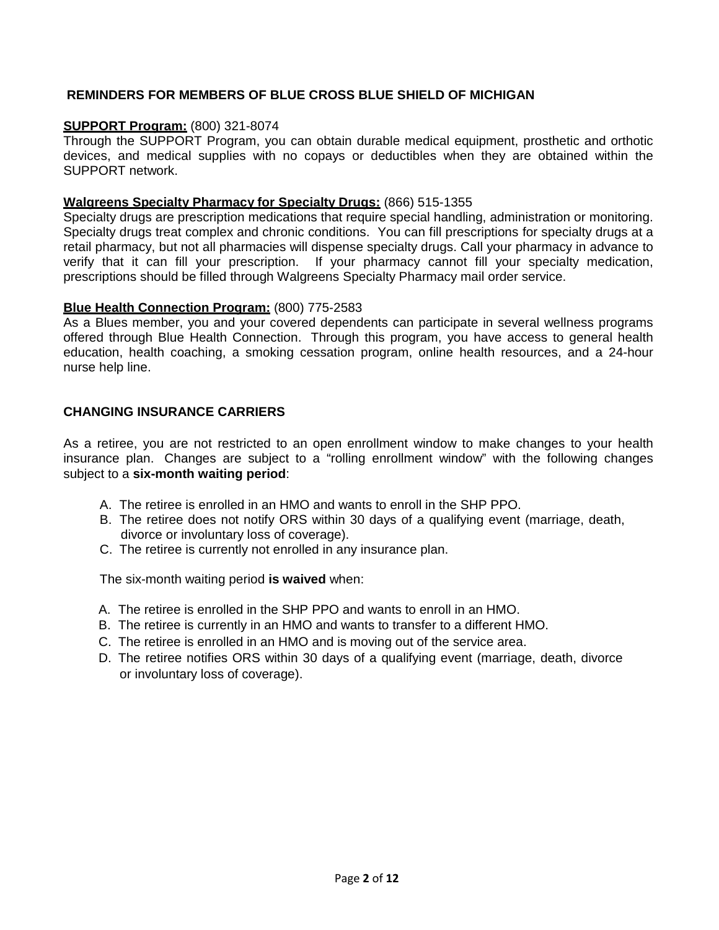### **REMINDERS FOR MEMBERS OF BLUE CROSS BLUE SHIELD OF MICHIGAN**

### **SUPPORT Program:** (800) 321-8074

Through the SUPPORT Program, you can obtain durable medical equipment, prosthetic and orthotic devices, and medical supplies with no copays or deductibles when they are obtained within the SUPPORT network.

#### **Walgreens Specialty Pharmacy for Specialty Drugs:** (866) 515-1355

Specialty drugs are prescription medications that require special handling, administration or monitoring. Specialty drugs treat complex and chronic conditions. You can fill prescriptions for specialty drugs at a retail pharmacy, but not all pharmacies will dispense specialty drugs. Call your pharmacy in advance to verify that it can fill your prescription. If your pharmacy cannot fill your specialty medication, prescriptions should be filled through Walgreens Specialty Pharmacy mail order service.

#### **Blue Health Connection Program:** (800) 775-2583

As a Blues member, you and your covered dependents can participate in several wellness programs offered through Blue Health Connection. Through this program, you have access to general health education, health coaching, a smoking cessation program, online health resources, and a 24-hour nurse help line.

### **CHANGING INSURANCE CARRIERS**

As a retiree, you are not restricted to an open enrollment window to make changes to your health insurance plan. Changes are subject to a "rolling enrollment window" with the following changes subject to a **six-month waiting period**:

- A. The retiree is enrolled in an HMO and wants to enroll in the SHP PPO.
- B. The retiree does not notify ORS within 30 days of a qualifying event (marriage, death, divorce or involuntary loss of coverage).
- C. The retiree is currently not enrolled in any insurance plan.

The six-month waiting period **is waived** when:

- A. The retiree is enrolled in the SHP PPO and wants to enroll in an HMO.
- B. The retiree is currently in an HMO and wants to transfer to a different HMO.
- C. The retiree is enrolled in an HMO and is moving out of the service area.
- D. The retiree notifies ORS within 30 days of a qualifying event (marriage, death, divorce or involuntary loss of coverage).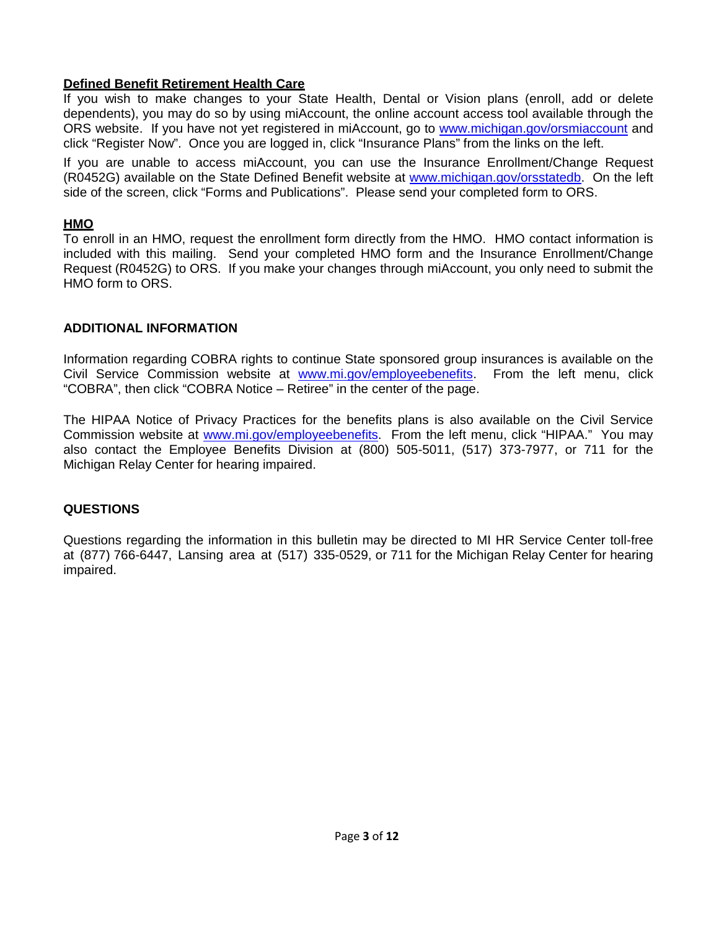### **Defined Benefit Retirement Health Care**

If you wish to make changes to your State Health, Dental or Vision plans (enroll, add or delete dependents), you may do so by using miAccount, the online account access tool available through the ORS website. If you have not yet registered in miAccount, go to www.michigan.gov/orsmiaccount and click "Register Now". Once you are logged in, click "Insurance Plans" from the links on the left.

If you are unable to access miAccount, you can use the Insurance Enrollment/Change Request (R0452G) available on the State Defined Benefit website at www.michigan.gov/orsstatedb. On the left side of the screen, click "Forms and Publications". Please send your completed form to ORS.

### **HMO**

To enroll in an HMO, request the enrollment form directly from the HMO. HMO contact information is included with this mailing. Send your completed HMO form and the Insurance Enrollment/Change Request (R0452G) to ORS. If you make your changes through miAccount, you only need to submit the HMO form to ORS.

### **ADDITIONAL INFORMATION**

Information regarding COBRA rights to continue State sponsored group insurances is available on the Civil Service Commission website at www.mi.gov/employeebenefits. From the left menu, click "COBRA", then click "COBRA Notice – Retiree" in the center of the page.

The HIPAA Notice of Privacy Practices for the benefits plans is also available on the Civil Service Commission website at www.mi.gov/employeebenefits. From the left menu, click "HIPAA." You may also contact the Employee Benefits Division at (800) 505-5011, (517) 373-7977, or 711 for the Michigan Relay Center for hearing impaired.

## **QUESTIONS**

Questions regarding the information in this bulletin may be directed to MI HR Service Center toll-free at (877) 766-6447, Lansing area at (517) 335-0529, or 711 for the Michigan Relay Center for hearing impaired.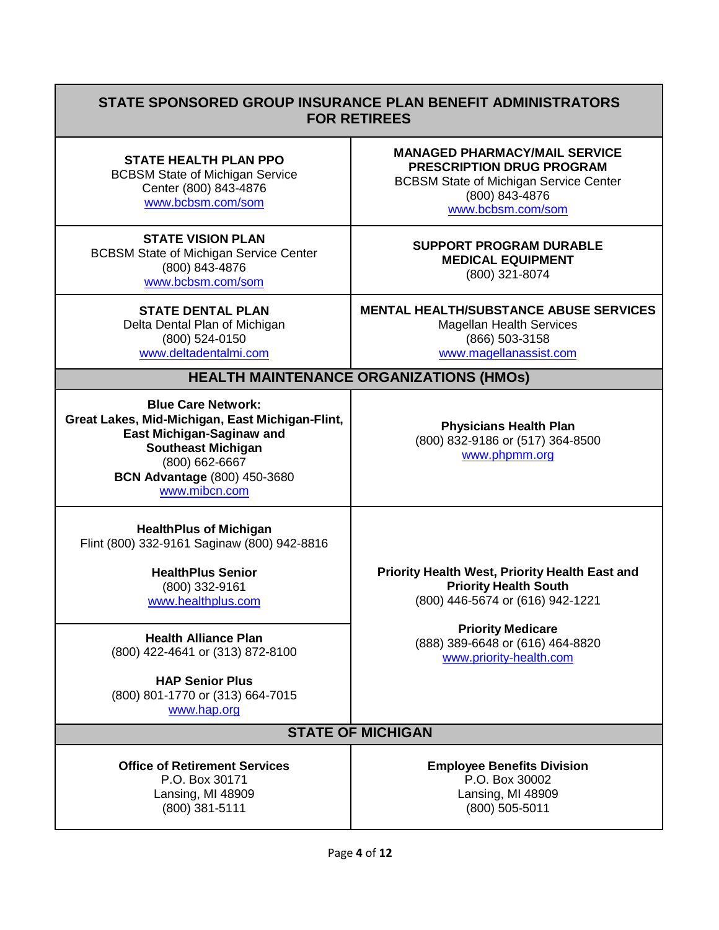## **STATE SPONSORED GROUP INSURANCE PLAN BENEFIT ADMINISTRATORS FOR RETIREES**

**STATE HEALTH PLAN PPO**  BCBSM State of Michigan Service Center (800) 843-4876

www.bcbsm.com/som

**STATE VISION PLAN** BCBSM State of Michigan Service Center (800) 843-4876 www.bcbsm.com/som

> **STATE DENTAL PLAN**  Delta Dental Plan of Michigan (800) 524-0150 www.deltadentalmi.com

**MANAGED PHARMACY/MAIL SERVICE PRESCRIPTION DRUG PROGRAM**  BCBSM State of Michigan Service Center (800) 843-4876 www.bcbsm.com/som

**SUPPORT PROGRAM DURABLE MEDICAL EQUIPMENT** (800) 321-8074

**MENTAL HEALTH/SUBSTANCE ABUSE SERVICES** Magellan Health Services (866) 503-3158 www.magellanassist.com

**HEALTH MAINTENANCE ORGANIZATIONS (HMOs)**

**Blue Care Network: Great Lakes, Mid-Michigan, East Michigan-Flint, East Michigan-Saginaw and Southeast Michigan** (800) 662-6667 **BCN Advantage** (800) 450-3680 www.mibcn.com

**Physicians Health Plan**  (800) 832-9186 or (517) 364-8500 www.phpmm.org

**HealthPlus of Michigan** Flint (800) 332-9161 Saginaw (800) 942-8816

> **HealthPlus Senior**  (800) 332-9161 www.healthplus.com

**Health Alliance Plan** (800) 422-4641 or (313) 872-8100

**HAP Senior Plus** (800) 801-1770 or (313) 664-7015 www.hap.org

**Priority Health West, Priority Health East and Priority Health South** (800) 446-5674 or (616) 942-1221

> **Priority Medicare** (888) 389-6648 or (616) 464-8820 www.priority-health.com

## **STATE OF MICHIGAN**

**Office of Retirement Services** P.O. Box 30171 Lansing, MI 48909 (800) 381-5111

**Employee Benefits Division** P.O. Box 30002 Lansing, MI 48909 (800) 505-5011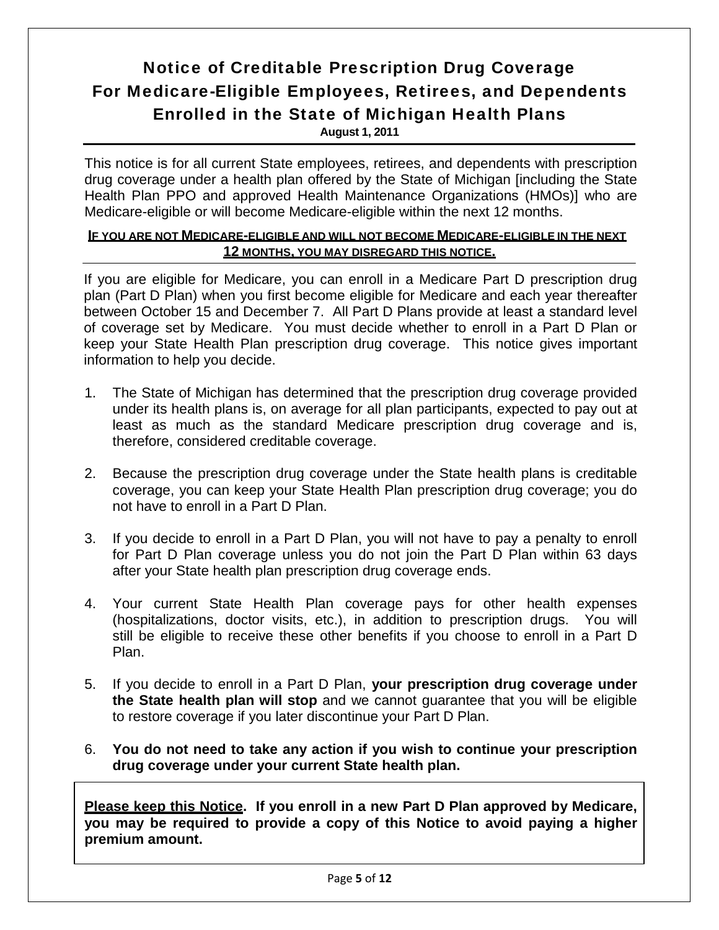# Notice of Creditable Prescription Drug Coverage For Medicare-Eligible Employees, Retirees, and Dependents Enrolled in the State of Michigan Health Plans **August 1, 2011**

This notice is for all current State employees, retirees, and dependents with prescription drug coverage under a health plan offered by the State of Michigan [including the State Health Plan PPO and approved Health Maintenance Organizations (HMOs)] who are Medicare-eligible or will become Medicare-eligible within the next 12 months.

### **IF YOU ARE NOT MEDICARE-ELIGIBLE AND WILL NOT BECOME MEDICARE-ELIGIBLE IN THE NEXT 12 MONTHS, YOU MAY DISREGARD THIS NOTICE.**

If you are eligible for Medicare, you can enroll in a Medicare Part D prescription drug plan (Part D Plan) when you first become eligible for Medicare and each year thereafter between October 15 and December 7. All Part D Plans provide at least a standard level of coverage set by Medicare. You must decide whether to enroll in a Part D Plan or keep your State Health Plan prescription drug coverage. This notice gives important information to help you decide.

- 1. The State of Michigan has determined that the prescription drug coverage provided under its health plans is, on average for all plan participants, expected to pay out at least as much as the standard Medicare prescription drug coverage and is, therefore, considered creditable coverage.
- 2. Because the prescription drug coverage under the State health plans is creditable coverage, you can keep your State Health Plan prescription drug coverage; you do not have to enroll in a Part D Plan.
- 3. If you decide to enroll in a Part D Plan, you will not have to pay a penalty to enroll for Part D Plan coverage unless you do not join the Part D Plan within 63 days after your State health plan prescription drug coverage ends.
- 4. Your current State Health Plan coverage pays for other health expenses (hospitalizations, doctor visits, etc.), in addition to prescription drugs. You will still be eligible to receive these other benefits if you choose to enroll in a Part D Plan.
- 5. If you decide to enroll in a Part D Plan, **your prescription drug coverage under the State health plan will stop** and we cannot guarantee that you will be eligible to restore coverage if you later discontinue your Part D Plan.
- 6. **You do not need to take any action if you wish to continue your prescription drug coverage under your current State health plan.**

**Please keep this Notice. If you enroll in a new Part D Plan approved by Medicare, you may be required to provide a copy of this Notice to avoid paying a higher premium amount.**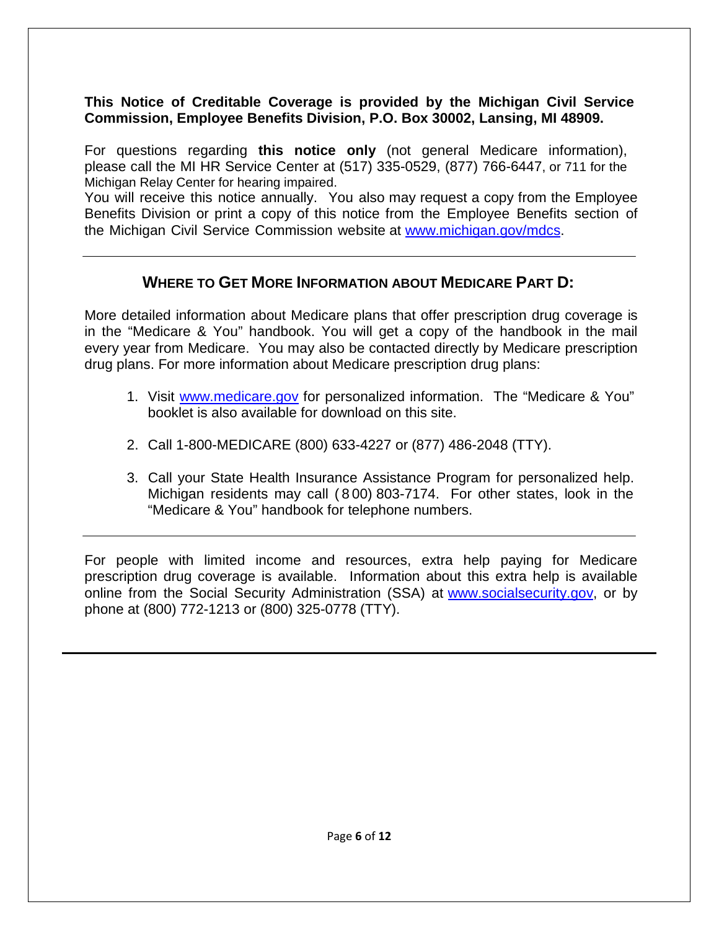## **This Notice of Creditable Coverage is provided by the Michigan Civil Service Commission, Employee Benefits Division, P.O. Box 30002, Lansing, MI 48909.**

For questions regarding **this notice only** (not general Medicare information), please call the MI HR Service Center at (517) 335-0529, (877) 766-6447, or 711 for the Michigan Relay Center for hearing impaired.

You will receive this notice annually. You also may request a copy from the Employee Benefits Division or print a copy of this notice from the Employee Benefits section of the Michigan Civil Service Commission website at www.michigan.gov/mdcs.

# **WHERE TO GET MORE INFORMATION ABOUT MEDICARE PART D:**

More detailed information about Medicare plans that offer prescription drug coverage is in the "Medicare & You" handbook. You will get a copy of the handbook in the mail every year from Medicare. You may also be contacted directly by Medicare prescription drug plans. For more information about Medicare prescription drug plans:

- 1. Visit www.medicare.gov for personalized information. The "Medicare & You" booklet is also available for download on this site.
- 2. Call 1-800-MEDICARE (800) 633-4227 or (877) 486-2048 (TTY).
- 3. Call your State Health Insurance Assistance Program for personalized help. Michigan residents may call ( 8 00) 803-7174. For other states, look in the "Medicare & You" handbook for telephone numbers.

For people with limited income and resources, extra help paying for Medicare prescription drug coverage is available. Information about this extra help is available online from the Social Security Administration (SSA) at www.socialsecurity.gov, or by phone at (800) 772-1213 or (800) 325-0778 (TTY).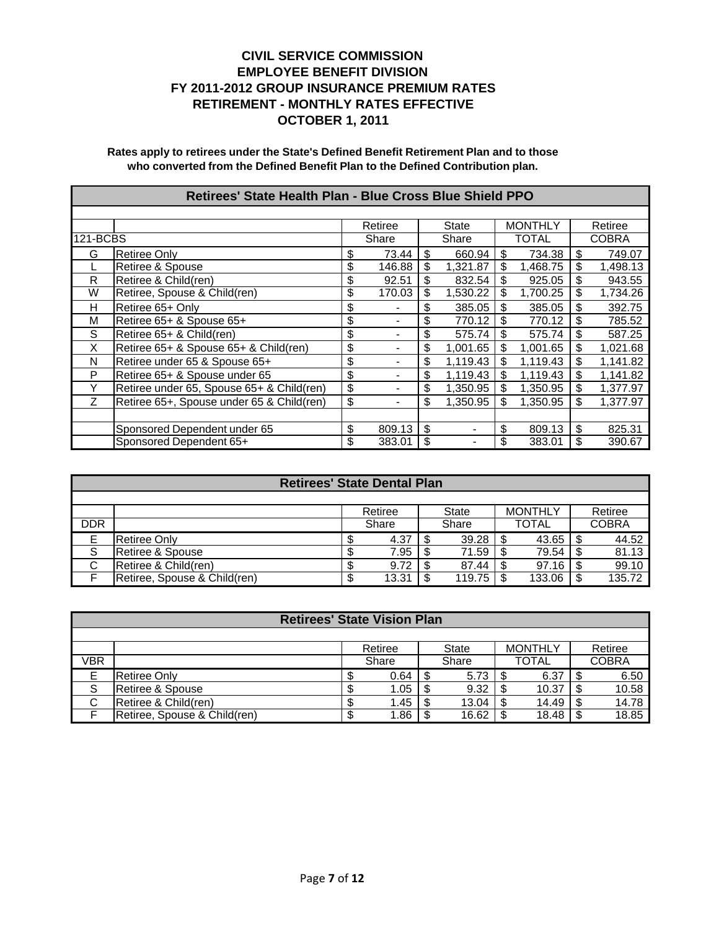|          | Retirees' State Health Plan - Blue Cross Blue Shield PPO |    |                |    |          |    |                |    |          |  |  |
|----------|----------------------------------------------------------|----|----------------|----|----------|----|----------------|----|----------|--|--|
|          |                                                          |    |                |    |          |    |                |    |          |  |  |
|          |                                                          |    | Retiree        |    | State    |    | <b>MONTHLY</b> |    | Retiree  |  |  |
| 121-BCBS |                                                          |    | Share          |    | Share    |    | <b>TOTAL</b>   |    | COBRA    |  |  |
| G        | <b>Retiree Only</b>                                      | \$ | 73.44          | \$ | 660.94   | \$ | 734.38         | \$ | 749.07   |  |  |
|          | Retiree & Spouse                                         | \$ | 146.88         | \$ | 1,321.87 | \$ | 1,468.75       | \$ | 1,498.13 |  |  |
| R        | Retiree & Child(ren)                                     | \$ | 92.51          | \$ | 832.54   | \$ | 925.05         | \$ | 943.55   |  |  |
| W        | Retiree, Spouse & Child(ren)                             | \$ | 170.03         | \$ | 1,530.22 | \$ | 1,700.25       | \$ | 1,734.26 |  |  |
| н        | Retiree 65+ Only                                         | \$ | $\blacksquare$ | \$ | 385.05   | \$ | 385.05         | \$ | 392.75   |  |  |
| M        | Retiree 65+ & Spouse 65+                                 | \$ | -              | \$ | 770.12   | \$ | 770.12         | \$ | 785.52   |  |  |
| S        | Retiree 65+ & Child(ren)                                 | \$ | -              | \$ | 575.74   | \$ | 575.74         | \$ | 587.25   |  |  |
| X        | Retiree 65+ & Spouse 65+ & Child(ren)                    | \$ |                | \$ | 1,001.65 | \$ | 1,001.65       | \$ | 1,021.68 |  |  |
| N        | Retiree under 65 & Spouse 65+                            | \$ |                | \$ | 1.119.43 | \$ | 1.119.43       | \$ | 1,141.82 |  |  |
| P        | Retiree 65+ & Spouse under 65                            | \$ |                | \$ | 1,119.43 | \$ | 1,119.43       | \$ | 1,141.82 |  |  |
| Y        | Retiree under 65, Spouse 65+ & Child(ren)                | \$ | -              | \$ | 1,350.95 | \$ | 1,350.95       | \$ | 1,377.97 |  |  |
| Z        | Retiree 65+, Spouse under 65 & Child(ren)                | \$ | -              | \$ | 1,350.95 | \$ | 1,350.95       | \$ | 1,377.97 |  |  |
|          |                                                          |    |                |    |          |    |                |    |          |  |  |
|          | Sponsored Dependent under 65                             | \$ | 809.13         | \$ |          |    | 809.13         | \$ | 825.31   |  |  |
|          | Sponsored Dependent 65+                                  | \$ | 383.01         | \$ |          | \$ | 383.01         | \$ | 390.67   |  |  |

|            | <b>Retirees' State Dental Plan</b> |  |         |    |        |   |                |  |              |  |  |
|------------|------------------------------------|--|---------|----|--------|---|----------------|--|--------------|--|--|
|            |                                    |  |         |    |        |   |                |  |              |  |  |
|            |                                    |  | Retiree |    | State  |   | <b>MONTHLY</b> |  | Retiree      |  |  |
| <b>DDR</b> |                                    |  | Share   |    | Share  |   | <b>TOTAL</b>   |  | <b>COBRA</b> |  |  |
| E          | Retiree Only                       |  | 4.37    |    | 39.28  |   | 43.65          |  | 44.52        |  |  |
| S          | Retiree & Spouse                   |  | 7.95    | \$ | 71.59  |   | 79.54          |  | 81.13        |  |  |
| C          | Retiree & Child(ren)               |  | 9.72    |    | 87.44  | S | 97.16          |  | 99.10        |  |  |
|            | Retiree, Spouse & Child(ren)       |  | 13.31   |    | 119.75 |   | 133.06         |  | 135.72       |  |  |

|             | <b>Retirees' State Vision Plan</b> |    |         |   |       |   |                |     |              |  |  |
|-------------|------------------------------------|----|---------|---|-------|---|----------------|-----|--------------|--|--|
|             |                                    |    |         |   |       |   |                |     |              |  |  |
|             |                                    |    | Retiree |   | State |   | <b>MONTHLY</b> |     | Retiree      |  |  |
| <b>VBR</b>  |                                    |    | Share   |   | Share |   | TOTAL          |     | <b>COBRA</b> |  |  |
|             | Retiree Only                       |    | 0.64    |   | 5.73  |   | 6.37           | -S  | 6.50         |  |  |
| S           | Retiree & Spouse                   |    | 1.05    | S | 9.32  |   | 10.37          | \$. | 10.58        |  |  |
| $\sim$<br>U | Retiree & Child(ren)               |    | 1.45    |   | 13.04 | S | 14.49          | \$. | 14.78        |  |  |
|             | Retiree, Spouse & Child(ren)       | ۰D | .86     |   | 16.62 |   | 18.48          |     | 18.85        |  |  |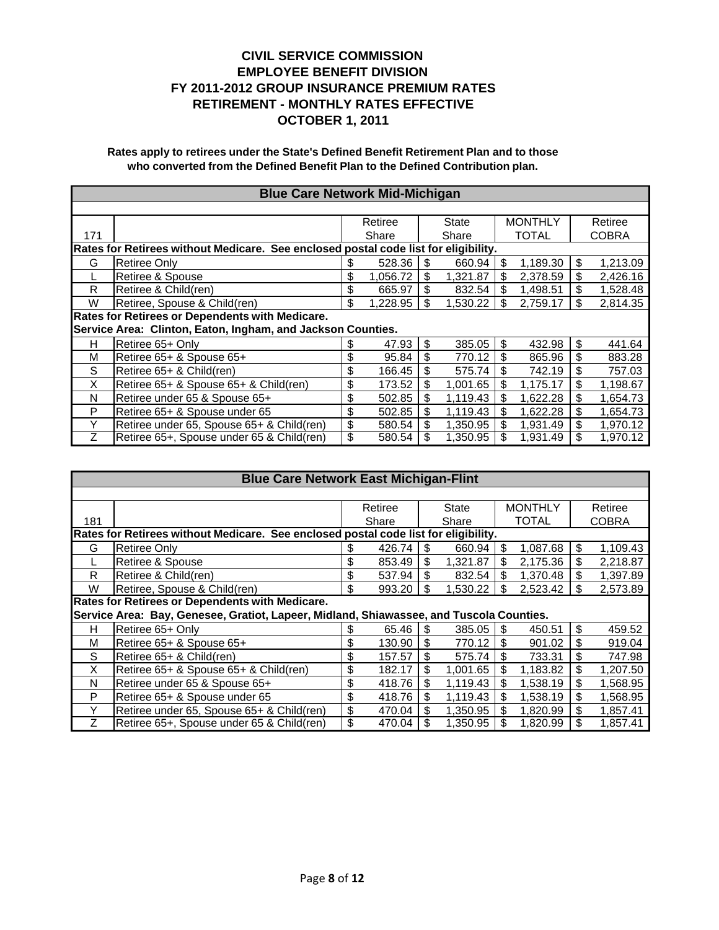|                                                                                     | <b>Blue Care Network Mid-Michigan</b>                       |    |          |    |          |    |                |    |              |  |  |
|-------------------------------------------------------------------------------------|-------------------------------------------------------------|----|----------|----|----------|----|----------------|----|--------------|--|--|
|                                                                                     |                                                             |    |          |    |          |    |                |    |              |  |  |
|                                                                                     |                                                             |    | Retiree  |    | State    |    | <b>MONTHLY</b> |    | Retiree      |  |  |
| 171                                                                                 |                                                             |    | Share    |    | Share    |    | <b>TOTAL</b>   |    | <b>COBRA</b> |  |  |
| Rates for Retirees without Medicare. See enclosed postal code list for eligibility. |                                                             |    |          |    |          |    |                |    |              |  |  |
| G                                                                                   | Retiree Only                                                | \$ | 528.36   | \$ | 660.94   | \$ | 1,189.30       | \$ | 1,213.09     |  |  |
| L                                                                                   | Retiree & Spouse                                            | \$ | 1,056.72 | \$ | 1,321.87 | \$ | 2,378.59       | \$ | 2,426.16     |  |  |
| R                                                                                   | Retiree & Child(ren)                                        | \$ | 665.97   | \$ | 832.54   | \$ | 1,498.51       | \$ | 1,528.48     |  |  |
| W                                                                                   | Retiree, Spouse & Child(ren)                                | \$ | 1.228.95 | \$ | 1,530.22 | \$ | 2,759.17       | \$ | 2,814.35     |  |  |
|                                                                                     | Rates for Retirees or Dependents with Medicare.             |    |          |    |          |    |                |    |              |  |  |
|                                                                                     | Service Area: Clinton, Eaton, Ingham, and Jackson Counties. |    |          |    |          |    |                |    |              |  |  |
| н                                                                                   | Retiree 65+ Only                                            | \$ | 47.93    | \$ | 385.05   | \$ | 432.98         | \$ | 441.64       |  |  |
| М                                                                                   | Retiree 65+ & Spouse 65+                                    | \$ | 95.84    | \$ | 770.12   | \$ | 865.96         | \$ | 883.28       |  |  |
| S                                                                                   | Retiree 65+ & Child(ren)                                    | \$ | 166.45   | \$ | 575.74   | \$ | 742.19         | \$ | 757.03       |  |  |
| X                                                                                   | Retiree 65+ & Spouse 65+ & Child(ren)                       | \$ | 173.52   | \$ | 1,001.65 | \$ | 1,175.17       | \$ | 1,198.67     |  |  |
| N                                                                                   | Retiree under 65 & Spouse 65+                               | \$ | 502.85   | \$ | 1,119.43 | \$ | 1,622.28       | \$ | 1,654.73     |  |  |
| P                                                                                   | Retiree 65+ & Spouse under 65                               | \$ | 502.85   | \$ | 1,119.43 | \$ | 1,622.28       | \$ | 1,654.73     |  |  |
| Υ                                                                                   | Retiree under 65, Spouse 65+ & Child(ren)                   | \$ | 580.54   | \$ | 1,350.95 | \$ | 1,931.49       | \$ | 1.970.12     |  |  |
| Ζ                                                                                   | Retiree 65+, Spouse under 65 & Child(ren)                   | \$ | 580.54   | \$ | 1,350.95 | \$ | 1,931.49       | \$ | 1,970.12     |  |  |

|                                                                                     | <b>Blue Care Network East Michigan-Flint</b>                                            |    |         |    |          |    |                |         |          |  |  |
|-------------------------------------------------------------------------------------|-----------------------------------------------------------------------------------------|----|---------|----|----------|----|----------------|---------|----------|--|--|
|                                                                                     |                                                                                         |    |         |    |          |    |                |         |          |  |  |
|                                                                                     |                                                                                         |    | Retiree |    | State    |    | <b>MONTHLY</b> | Retiree |          |  |  |
| 181                                                                                 |                                                                                         |    | Share   |    | Share    |    | TOTAL          |         | COBRA    |  |  |
| Rates for Retirees without Medicare. See enclosed postal code list for eligibility. |                                                                                         |    |         |    |          |    |                |         |          |  |  |
| G                                                                                   | Retiree Only                                                                            | \$ | 426.74  | \$ | 660.94   | \$ | 1,087.68       | \$      | 1,109.43 |  |  |
|                                                                                     | Retiree & Spouse                                                                        | \$ | 853.49  | \$ | 1,321.87 | \$ | 2,175.36       | \$      | 2,218.87 |  |  |
| R                                                                                   | Retiree & Child(ren)                                                                    | \$ | 537.94  | \$ | 832.54   | \$ | 1.370.48       | \$      | 1,397.89 |  |  |
| W                                                                                   | Retiree, Spouse & Child(ren)                                                            | \$ | 993.20  | \$ | 1,530.22 | \$ | 2,523.42       | \$      | 2,573.89 |  |  |
| Rates for Retirees or Dependents with Medicare.                                     |                                                                                         |    |         |    |          |    |                |         |          |  |  |
|                                                                                     | Service Area: Bay, Genesee, Gratiot, Lapeer, Midland, Shiawassee, and Tuscola Counties. |    |         |    |          |    |                |         |          |  |  |
| н                                                                                   | Retiree 65+ Only                                                                        | \$ | 65.46   | S  | 385.05   | \$ | 450.51         | \$      | 459.52   |  |  |
| М                                                                                   | Retiree 65+ & Spouse 65+                                                                | \$ | 130.90  | \$ | 770.12   | \$ | 901.02         | \$      | 919.04   |  |  |
| S                                                                                   | Retiree 65+ & Child(ren)                                                                | \$ | 157.57  | \$ | 575.74   | \$ | 733.31         | \$      | 747.98   |  |  |
| X                                                                                   | Retiree 65+ & Spouse 65+ & Child(ren)                                                   | \$ | 182.17  | \$ | 1.001.65 | \$ | 1.183.82       | \$      | 1,207.50 |  |  |
| N                                                                                   | Retiree under 65 & Spouse 65+                                                           | \$ | 418.76  | \$ | 1,119.43 | \$ | 1,538.19       | \$      | 1,568.95 |  |  |
| P                                                                                   | Retiree 65+ & Spouse under 65                                                           | \$ | 418.76  | \$ | 1,119.43 | \$ | 1,538.19       | \$      | 1,568.95 |  |  |
| Y                                                                                   | Retiree under 65, Spouse 65+ & Child(ren)                                               | \$ | 470.04  | \$ | 1.350.95 | \$ | 1.820.99       | \$      | 1,857.41 |  |  |
| Ζ                                                                                   | Retiree 65+, Spouse under 65 & Child(ren)                                               | \$ | 470.04  | \$ | 1,350.95 | \$ | 1,820.99       | \$      | 1,857.41 |  |  |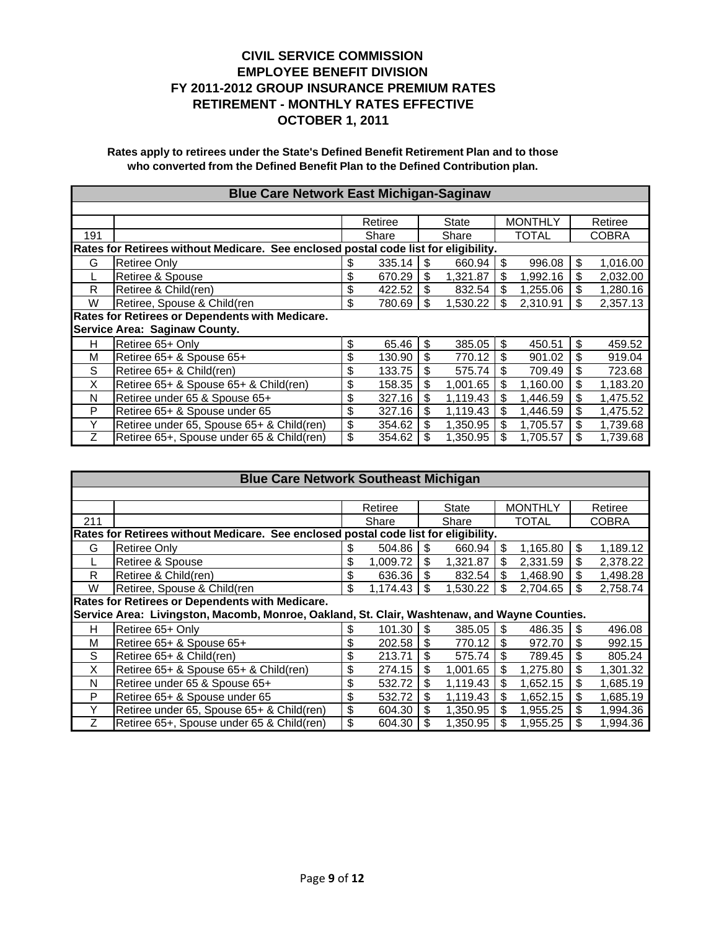|                                                                                     | <b>Blue Care Network East Michigan-Saginaw</b>  |    |         |    |          |    |                |    |          |  |  |
|-------------------------------------------------------------------------------------|-------------------------------------------------|----|---------|----|----------|----|----------------|----|----------|--|--|
|                                                                                     |                                                 |    |         |    |          |    |                |    |          |  |  |
|                                                                                     |                                                 |    | Retiree |    | State    |    | <b>MONTHLY</b> |    | Retiree  |  |  |
| 191                                                                                 |                                                 |    | Share   |    | Share    |    | <b>TOTAL</b>   |    | COBRA    |  |  |
| Rates for Retirees without Medicare. See enclosed postal code list for eligibility. |                                                 |    |         |    |          |    |                |    |          |  |  |
| G                                                                                   | Retiree Only                                    | \$ | 335.14  | \$ | 660.94   | \$ | 996.08         | \$ | 1,016.00 |  |  |
|                                                                                     | Retiree & Spouse                                | \$ | 670.29  | \$ | 1,321.87 | \$ | 1,992.16       | \$ | 2,032.00 |  |  |
| R                                                                                   | Retiree & Child(ren)                            | \$ | 422.52  | \$ | 832.54   | \$ | 1,255.06       | \$ | 1,280.16 |  |  |
| W                                                                                   | Retiree, Spouse & Child(ren                     | \$ | 780.69  | \$ | 1,530.22 | \$ | 2,310.91       | \$ | 2,357.13 |  |  |
|                                                                                     | Rates for Retirees or Dependents with Medicare. |    |         |    |          |    |                |    |          |  |  |
|                                                                                     | Service Area: Saginaw County.                   |    |         |    |          |    |                |    |          |  |  |
| н                                                                                   | Retiree 65+ Only                                | \$ | 65.46   | \$ | 385.05   | \$ | 450.51         | \$ | 459.52   |  |  |
| М                                                                                   | Retiree 65+ & Spouse 65+                        | \$ | 130.90  | \$ | 770.12   | \$ | 901.02         | \$ | 919.04   |  |  |
| S                                                                                   | Retiree 65+ & Child(ren)                        | \$ | 133.75  | \$ | 575.74   | \$ | 709.49         | \$ | 723.68   |  |  |
| X                                                                                   | Retiree 65+ & Spouse 65+ & Child(ren)           | \$ | 158.35  | \$ | 1.001.65 | \$ | 1,160.00       | \$ | 1,183.20 |  |  |
| N                                                                                   | Retiree under 65 & Spouse 65+                   | \$ | 327.16  | \$ | 1,119.43 | \$ | 1,446.59       | \$ | 1,475.52 |  |  |
| P                                                                                   | Retiree 65+ & Spouse under 65                   | \$ | 327.16  | \$ | 1.119.43 | \$ | 1,446.59       | \$ | 1,475.52 |  |  |
| Υ                                                                                   | Retiree under 65, Spouse 65+ & Child(ren)       | \$ | 354.62  | \$ | 1.350.95 | \$ | 1.705.57       | \$ | 1,739.68 |  |  |
| Ζ                                                                                   | Retiree 65+, Spouse under 65 & Child(ren)       | \$ | 354.62  | \$ | 1,350.95 | \$ | 1,705.57       | \$ | 1,739.68 |  |  |

|                                                                                     | <b>Blue Care Network Southeast Michigan</b>                                                  |    |          |    |              |    |                           |    |              |  |  |
|-------------------------------------------------------------------------------------|----------------------------------------------------------------------------------------------|----|----------|----|--------------|----|---------------------------|----|--------------|--|--|
|                                                                                     |                                                                                              |    |          |    |              |    |                           |    |              |  |  |
|                                                                                     |                                                                                              |    | Retiree  |    | <b>State</b> |    | <b>MONTHLY</b><br>Retiree |    |              |  |  |
| 211                                                                                 |                                                                                              |    | Share    |    | Share        |    | <b>TOTAL</b>              |    | <b>COBRA</b> |  |  |
| Rates for Retirees without Medicare. See enclosed postal code list for eligibility. |                                                                                              |    |          |    |              |    |                           |    |              |  |  |
| G                                                                                   | <b>Retiree Only</b>                                                                          |    | 504.86   | \$ | 660.94       | \$ | 1,165.80                  | \$ | 1,189.12     |  |  |
|                                                                                     | Retiree & Spouse                                                                             | \$ | 1.009.72 | \$ | 1.321.87     | \$ | 2,331.59                  | \$ | 2,378.22     |  |  |
| R                                                                                   | Retiree & Child(ren)                                                                         | \$ | 636.36   | \$ | 832.54       | \$ | 1,468.90                  | \$ | 1,498.28     |  |  |
| W                                                                                   | Retiree, Spouse & Child(ren                                                                  | \$ | 1,174.43 | \$ | 1,530.22     | \$ | 2,704.65                  | \$ | 2.758.74     |  |  |
| Rates for Retirees or Dependents with Medicare.                                     |                                                                                              |    |          |    |              |    |                           |    |              |  |  |
|                                                                                     | Service Area: Livingston, Macomb, Monroe, Oakland, St. Clair, Washtenaw, and Wayne Counties. |    |          |    |              |    |                           |    |              |  |  |
| н                                                                                   | Retiree 65+ Only                                                                             | \$ | 101.30   | \$ | 385.05       | \$ | 486.35                    | S  | 496.08       |  |  |
| M                                                                                   | Retiree 65+ & Spouse 65+                                                                     | \$ | 202.58   | \$ | 770.12       | \$ | 972.70                    | \$ | 992.15       |  |  |
| S                                                                                   | Retiree 65+ & Child(ren)                                                                     | \$ | 213.71   | \$ | 575.74       | \$ | 789.45                    | \$ | 805.24       |  |  |
| X                                                                                   | Retiree 65+ & Spouse 65+ & Child(ren)                                                        | \$ | 274.15   | \$ | 1.001.65     | \$ | 1,275.80                  | \$ | 1,301.32     |  |  |
| N                                                                                   | Retiree under 65 & Spouse 65+                                                                | \$ | 532.72   | \$ | 1,119.43     | \$ | 1,652.15                  | \$ | 1,685.19     |  |  |
| P                                                                                   | Retiree 65+ & Spouse under 65                                                                | \$ | 532.72   | \$ | 1.119.43     | \$ | 1,652.15                  | \$ | 1,685.19     |  |  |
| Y                                                                                   | Retiree under 65, Spouse 65+ & Child(ren)                                                    | \$ | 604.30   | \$ | 1,350.95     | \$ | 1,955.25                  | \$ | 1,994.36     |  |  |
| Ζ                                                                                   | Retiree 65+, Spouse under 65 & Child(ren)                                                    | \$ | 604.30   | \$ | 1,350.95     | \$ | 1,955.25                  | \$ | 1,994.36     |  |  |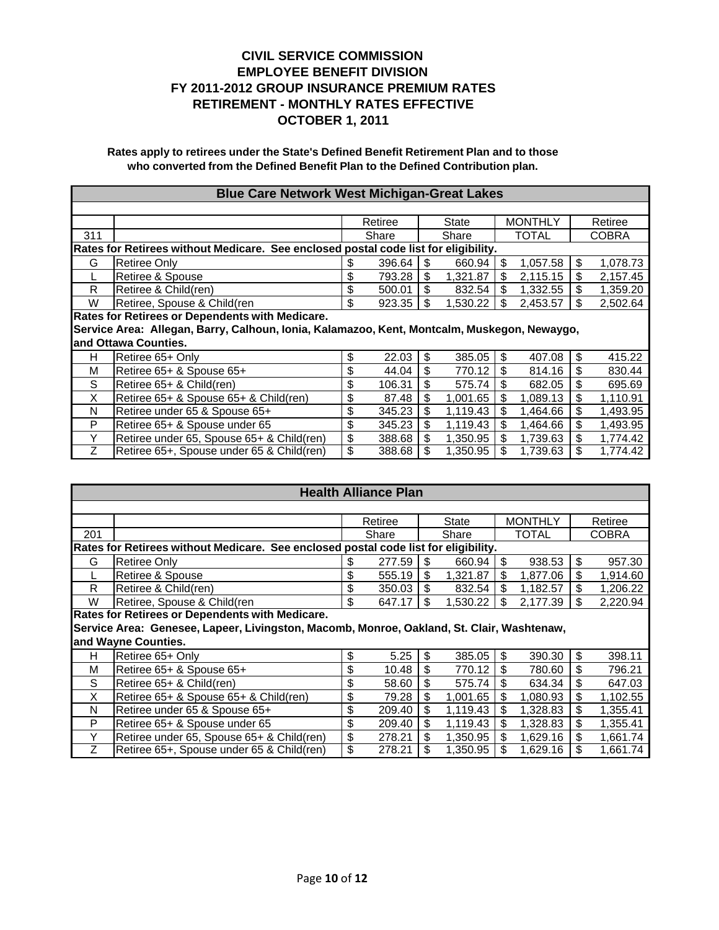| <b>Blue Care Network West Michigan-Great Lakes</b> |                                                                                             |    |         |    |          |    |                |    |              |  |  |  |
|----------------------------------------------------|---------------------------------------------------------------------------------------------|----|---------|----|----------|----|----------------|----|--------------|--|--|--|
|                                                    |                                                                                             |    |         |    |          |    |                |    |              |  |  |  |
|                                                    |                                                                                             |    | Retiree |    | State    |    | <b>MONTHLY</b> |    | Retiree      |  |  |  |
| 311                                                |                                                                                             |    | Share   |    | Share    |    | <b>TOTAL</b>   |    | <b>COBRA</b> |  |  |  |
|                                                    | Rates for Retirees without Medicare. See enclosed postal code list for eligibility.         |    |         |    |          |    |                |    |              |  |  |  |
| G                                                  | Retiree Only                                                                                | \$ | 396.64  | \$ | 660.94   | \$ | 1,057.58       | \$ | 1,078.73     |  |  |  |
|                                                    | Retiree & Spouse                                                                            | \$ | 793.28  | \$ | 1,321.87 | \$ | 2,115.15       | \$ | 2,157.45     |  |  |  |
| R                                                  | Retiree & Child(ren)                                                                        | \$ | 500.01  | \$ | 832.54   | \$ | 1,332.55       | \$ | 1,359.20     |  |  |  |
| W                                                  | Retiree, Spouse & Child(ren<br>\$<br>\$<br>\$<br>923.35<br>1,530.22<br>2,453.57<br>2,502.64 |    |         |    |          |    |                |    |              |  |  |  |
| Rates for Retirees or Dependents with Medicare.    |                                                                                             |    |         |    |          |    |                |    |              |  |  |  |
|                                                    | Service Area: Allegan, Barry, Calhoun, Ionia, Kalamazoo, Kent, Montcalm, Muskegon, Newaygo, |    |         |    |          |    |                |    |              |  |  |  |
|                                                    | and Ottawa Counties.                                                                        |    |         |    |          |    |                |    |              |  |  |  |
| н                                                  | Retiree 65+ Only                                                                            | \$ | 22.03   | \$ | 385.05   | \$ | 407.08         | \$ | 415.22       |  |  |  |
| M                                                  | Retiree 65+ & Spouse 65+                                                                    | \$ | 44.04   | \$ | 770.12   | \$ | 814.16         | \$ | 830.44       |  |  |  |
| S                                                  | Retiree 65+ & Child(ren)                                                                    | \$ | 106.31  | \$ | 575.74   | \$ | 682.05         | \$ | 695.69       |  |  |  |
| X                                                  | Retiree 65+ & Spouse 65+ & Child(ren)                                                       | \$ | 87.48   | \$ | 1,001.65 | \$ | 1,089.13       | \$ | 1,110.91     |  |  |  |
| N                                                  | Retiree under 65 & Spouse 65+                                                               | \$ | 345.23  | \$ | 1,119.43 | \$ | 1,464.66       | \$ | 1,493.95     |  |  |  |
| P                                                  | Retiree 65+ & Spouse under 65                                                               | \$ | 345.23  | \$ | 1,119.43 | \$ | 1,464.66       | \$ | 1,493.95     |  |  |  |
| Y                                                  | Retiree under 65, Spouse 65+ & Child(ren)                                                   | \$ | 388.68  | \$ | 1,350.95 | \$ | 1.739.63       | \$ | 1,774.42     |  |  |  |
| Ζ                                                  | Retiree 65+, Spouse under 65 & Child(ren)                                                   | \$ | 388.68  | \$ | 1,350.95 | \$ | 1,739.63       | \$ | 1,774.42     |  |  |  |

|                                                                                     | <b>Health Alliance Plan</b>                                                               |    |         |    |              |    |                |         |          |  |  |
|-------------------------------------------------------------------------------------|-------------------------------------------------------------------------------------------|----|---------|----|--------------|----|----------------|---------|----------|--|--|
|                                                                                     |                                                                                           |    |         |    |              |    |                |         |          |  |  |
|                                                                                     |                                                                                           |    | Retiree |    | <b>State</b> |    | <b>MONTHLY</b> | Retiree |          |  |  |
| 201                                                                                 |                                                                                           |    | Share   |    | Share        |    | <b>TOTAL</b>   |         | COBRA    |  |  |
| Rates for Retirees without Medicare. See enclosed postal code list for eligibility. |                                                                                           |    |         |    |              |    |                |         |          |  |  |
| G                                                                                   | <b>Retiree Only</b>                                                                       | \$ | 277.59  | \$ | 660.94       | \$ | 938.53         | \$      | 957.30   |  |  |
|                                                                                     | Retiree & Spouse                                                                          | \$ | 555.19  | \$ | 1,321.87     | \$ | 1,877.06       | \$      | 1,914.60 |  |  |
| R                                                                                   | Retiree & Child(ren)                                                                      | \$ | 350.03  | \$ | 832.54       | \$ | 1,182.57       | \$      | 1,206.22 |  |  |
| W                                                                                   | Retiree, Spouse & Child(ren                                                               | \$ | 647.17  | \$ | 1,530.22     | \$ | 2,177.39       | \$      | 2,220.94 |  |  |
|                                                                                     | Rates for Retirees or Dependents with Medicare.                                           |    |         |    |              |    |                |         |          |  |  |
|                                                                                     | Service Area: Genesee, Lapeer, Livingston, Macomb, Monroe, Oakland, St. Clair, Washtenaw, |    |         |    |              |    |                |         |          |  |  |
|                                                                                     | and Wayne Counties.                                                                       |    |         |    |              |    |                |         |          |  |  |
| н                                                                                   | Retiree 65+ Only                                                                          | \$ | 5.25    | \$ | 385.05       | \$ | 390.30         | \$      | 398.11   |  |  |
| м                                                                                   | Retiree 65+ & Spouse 65+                                                                  | \$ | 10.48   | \$ | 770.12       | \$ | 780.60         | \$      | 796.21   |  |  |
| S                                                                                   | Retiree 65+ & Child(ren)                                                                  | \$ | 58.60   | \$ | 575.74       | \$ | 634.34         | \$      | 647.03   |  |  |
| X                                                                                   | Retiree 65+ & Spouse 65+ & Child(ren)                                                     | \$ | 79.28   | \$ | 1,001.65     | \$ | 1,080.93       | \$      | 1,102.55 |  |  |
| N                                                                                   | Retiree under 65 & Spouse 65+                                                             | \$ | 209.40  | \$ | 1,119.43     | \$ | 1,328.83       | \$      | 1,355.41 |  |  |
| P                                                                                   | Retiree 65+ & Spouse under 65                                                             | \$ | 209.40  | \$ | 1,119.43     | \$ | 1,328.83       | \$      | 1,355.41 |  |  |
| Υ                                                                                   | Retiree under 65, Spouse 65+ & Child(ren)                                                 | \$ | 278.21  | \$ | 1,350.95     | \$ | 1,629.16       | \$      | 1,661.74 |  |  |
| Z                                                                                   | Retiree 65+, Spouse under 65 & Child(ren)                                                 | \$ | 278.21  | \$ | 1,350.95     | \$ | 1,629.16       | \$      | 1,661.74 |  |  |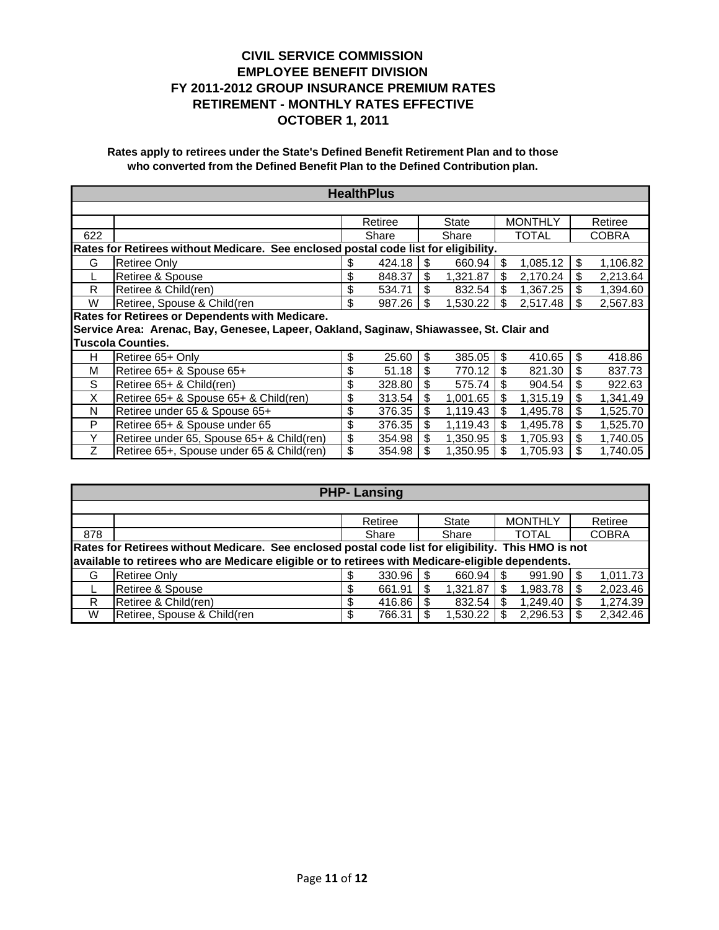| <b>HealthPlus</b>                               |                                                                                         |    |         |     |          |    |                |    |              |
|-------------------------------------------------|-----------------------------------------------------------------------------------------|----|---------|-----|----------|----|----------------|----|--------------|
|                                                 |                                                                                         |    |         |     |          |    |                |    |              |
|                                                 |                                                                                         |    | Retiree |     | State    |    | <b>MONTHLY</b> |    | Retiree      |
| 622                                             |                                                                                         |    | Share   |     | Share    |    | TOTAL          |    | <b>COBRA</b> |
|                                                 | Rates for Retirees without Medicare. See enclosed postal code list for eligibility.     |    |         |     |          |    |                |    |              |
| G                                               | <b>Retiree Only</b>                                                                     | S  | 424.18  | \$. | 660.94   | \$ | 1,085.12       | \$ | 1,106.82     |
|                                                 | Retiree & Spouse                                                                        | \$ | 848.37  | \$  | 1,321.87 | \$ | 2,170.24       | \$ | 2,213.64     |
| R                                               | Retiree & Child(ren)                                                                    | \$ | 534.71  | \$  | 832.54   | \$ | 1,367.25       | \$ | 1,394.60     |
| W                                               | Retiree, Spouse & Child(ren                                                             | \$ | 987.26  | \$  | 1,530.22 | \$ | 2,517.48       | \$ | 2,567.83     |
| Rates for Retirees or Dependents with Medicare. |                                                                                         |    |         |     |          |    |                |    |              |
|                                                 | Service Area: Arenac, Bay, Genesee, Lapeer, Oakland, Saginaw, Shiawassee, St. Clair and |    |         |     |          |    |                |    |              |
|                                                 | <b>Tuscola Counties.</b>                                                                |    |         |     |          |    |                |    |              |
| H.                                              | Retiree 65+ Only                                                                        | \$ | 25.60   | \$  | 385.05   | \$ | 410.65         | \$ | 418.86       |
| M                                               | Retiree 65+ & Spouse 65+                                                                | \$ | 51.18   | \$  | 770.12   | \$ | 821.30         | \$ | 837.73       |
| S                                               | Retiree 65+ & Child(ren)                                                                | \$ | 328.80  | \$  | 575.74   | \$ | 904.54         | \$ | 922.63       |
| X                                               | Retiree 65+ & Spouse 65+ & Child(ren)                                                   | \$ | 313.54  | \$  | 1,001.65 | \$ | 1,315.19       | \$ | 1,341.49     |
| N                                               | Retiree under 65 & Spouse 65+                                                           | \$ | 376.35  | \$  | 1,119.43 | \$ | 1,495.78       | \$ | 1,525.70     |
| P                                               | Retiree 65+ & Spouse under 65                                                           | \$ | 376.35  | \$  | 1,119.43 | \$ | 1,495.78       | \$ | 1,525.70     |
| Υ                                               | Retiree under 65, Spouse 65+ & Child(ren)                                               | \$ | 354.98  | \$  | 1,350.95 | \$ | 1,705.93       | \$ | 1,740.05     |
| Ζ                                               | Retiree 65+, Spouse under 65 & Child(ren)                                               | \$ | 354.98  | \$  | 1,350.95 | \$ | 1,705.93       | \$ | 1,740.05     |

|                                                                                                     | <b>PHP-Lansing</b>                                                                                |              |                |                 |                 |  |  |  |  |  |  |  |
|-----------------------------------------------------------------------------------------------------|---------------------------------------------------------------------------------------------------|--------------|----------------|-----------------|-----------------|--|--|--|--|--|--|--|
|                                                                                                     |                                                                                                   |              |                |                 |                 |  |  |  |  |  |  |  |
|                                                                                                     |                                                                                                   | Retiree      | State          | <b>MONTHLY</b>  | Retiree         |  |  |  |  |  |  |  |
| 878                                                                                                 |                                                                                                   | Share        | Share          | TOTAL           | <b>COBRA</b>    |  |  |  |  |  |  |  |
| Rates for Retirees without Medicare. See enclosed postal code list for eligibility. This HMO is not |                                                                                                   |              |                |                 |                 |  |  |  |  |  |  |  |
|                                                                                                     | available to retirees who are Medicare eligible or to retirees with Medicare-eligible dependents. |              |                |                 |                 |  |  |  |  |  |  |  |
| G                                                                                                   | <b>Retiree Only</b>                                                                               | $330.96$ S   | 660.94         | 991.90          | 1,011.73<br>-S  |  |  |  |  |  |  |  |
|                                                                                                     | Retiree & Spouse                                                                                  | 661.91<br>S  | 1,321.87<br>\$ | 1,983.78<br>\$. | 2,023.46<br>S   |  |  |  |  |  |  |  |
| R                                                                                                   | Retiree & Child(ren)                                                                              | 416.86       | 832.54<br>-S   | 1,249.40<br>-S  | 1,274.39<br>S   |  |  |  |  |  |  |  |
| W                                                                                                   | Retiree, Spouse & Child(ren                                                                       | 766.31<br>\$ | 1,530.22       | 2,296.53        | 2,342.46<br>\$. |  |  |  |  |  |  |  |